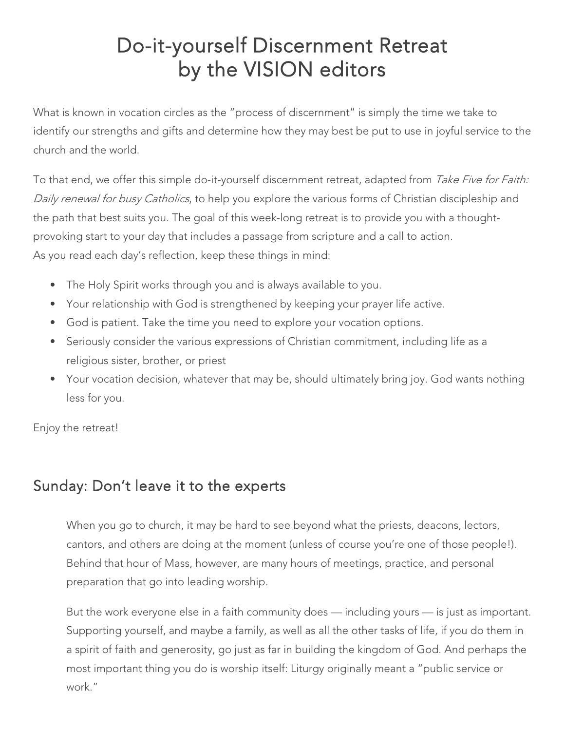# Do-it-yourself Discernment Retreat by the VISION editors

What is known in vocation circles as the "process of discernment" is simply the time we take to identify our strengths and gifts and determine how they may best be put to use in joyful service to the church and the world.

To that end, we offer this simple do-it-yourself discernment retreat, adapted from Take Five for Faith: Daily renewal for busy Catholics, to help you explore the various forms of Christian discipleship and the path that best suits you. The goal of this week-long retreat is to provide you with a thoughtprovoking start to your day that includes a passage from scripture and a call to action. As you read each day's reflection, keep these things in mind:

- The Holy Spirit works through you and is always available to you.
- Your relationship with God is strengthened by keeping your prayer life active.
- God is patient. Take the time you need to explore your vocation options.
- Seriously consider the various expressions of Christian commitment, including life as a religious sister, brother, or priest
- Your vocation decision, whatever that may be, should ultimately bring joy. God wants nothing less for you.

Enjoy the retreat!

## Sunday: Don't leave it to the experts

When you go to church, it may be hard to see beyond what the priests, deacons, lectors, cantors, and others are doing at the moment (unless of course you're one of those people!). Behind that hour of Mass, however, are many hours of meetings, practice, and personal preparation that go into leading worship.

But the work everyone else in a faith community does — including yours — is just as important. Supporting yourself, and maybe a family, as well as all the other tasks of life, if you do them in a spirit of faith and generosity, go just as far in building the kingdom of God. And perhaps the most important thing you do is worship itself: Liturgy originally meant a "public service or work."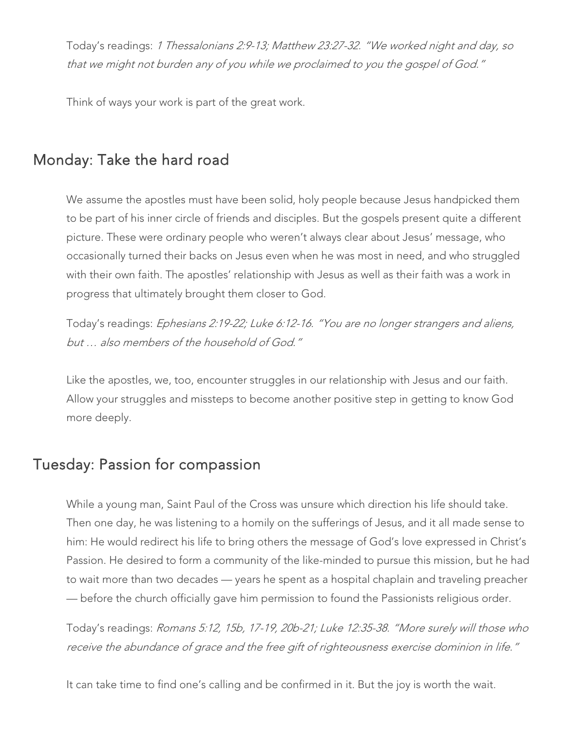Today's readings: <sup>1</sup> Thessalonians 2:9-13; Matthew 23:27-32. "We worked night and day, so that we might not burden any of you while we proclaimed to you the gospel of God."

Think of ways your work is part of the great work.

#### Monday: Take the hard road

We assume the apostles must have been solid, holy people because Jesus handpicked them to be part of his inner circle of friends and disciples. But the gospels present quite a different picture. These were ordinary people who weren't always clear about Jesus' message, who occasionally turned their backs on Jesus even when he was most in need, and who struggled with their own faith. The apostles' relationship with Jesus as well as their faith was a work in progress that ultimately brought them closer to God.

Today's readings: Ephesians 2:19-22; Luke 6:12-16. "You are no longer strangers and aliens, but … also members of the household of God."

Like the apostles, we, too, encounter struggles in our relationship with Jesus and our faith. Allow your struggles and missteps to become another positive step in getting to know God more deeply.

#### Tuesday: Passion for compassion

While a young man, Saint Paul of the Cross was unsure which direction his life should take. Then one day, he was listening to a homily on the sufferings of Jesus, and it all made sense to him: He would redirect his life to bring others the message of God's love expressed in Christ's Passion. He desired to form a community of the like-minded to pursue this mission, but he had to wait more than two decades — years he spent as a hospital chaplain and traveling preacher — before the church officially gave him permission to found the Passionists religious order.

Today's readings: Romans 5:12, 15b, 17-19, 20b-21; Luke 12:35-38. "More surely will those who receive the abundance of grace and the free gift of righteousness exercise dominion in life."

It can take time to find one's calling and be confirmed in it. But the joy is worth the wait.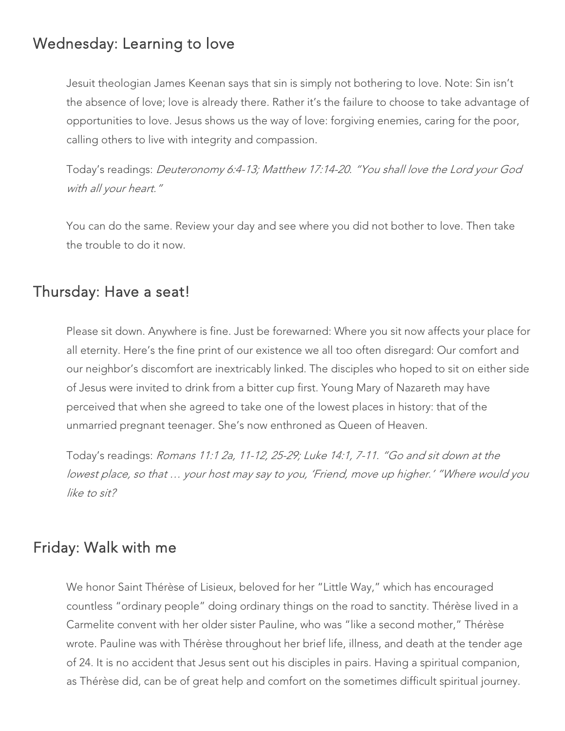## Wednesday: Learning to love

Jesuit theologian James Keenan says that sin is simply not bothering to love. Note: Sin isn't the absence of love; love is already there. Rather it's the failure to choose to take advantage of opportunities to love. Jesus shows us the way of love: forgiving enemies, caring for the poor, calling others to live with integrity and compassion.

Today's readings: Deuteronomy 6:4-13; Matthew 17:14-20. "You shall love the Lord your God with all your heart."

You can do the same. Review your day and see where you did not bother to love. Then take the trouble to do it now.

#### Thursday: Have a seat!

Please sit down. Anywhere is fine. Just be forewarned: Where you sit now affects your place for all eternity. Here's the fine print of our existence we all too often disregard: Our comfort and our neighbor's discomfort are inextricably linked. The disciples who hoped to sit on either side of Jesus were invited to drink from a bitter cup first. Young Mary of Nazareth may have perceived that when she agreed to take one of the lowest places in history: that of the unmarried pregnant teenager. She's now enthroned as Queen of Heaven.

Today's readings: Romans 11:1 2a, 11-12, 25-29; Luke 14:1, 7-11. "Go and sit down at the lowest place, so that … your host may say to you, 'Friend, move up higher.' "Where would you like to sit?

#### Friday: Walk with me

We honor Saint Thérèse of Lisieux, beloved for her "Little Way," which has encouraged countless "ordinary people" doing ordinary things on the road to sanctity. Thérèse lived in a Carmelite convent with her older sister Pauline, who was "like a second mother," Thérèse wrote. Pauline was with Thérèse throughout her brief life, illness, and death at the tender age of 24. It is no accident that Jesus sent out his disciples in pairs. Having a spiritual companion, as Thérèse did, can be of great help and comfort on the sometimes difficult spiritual journey.